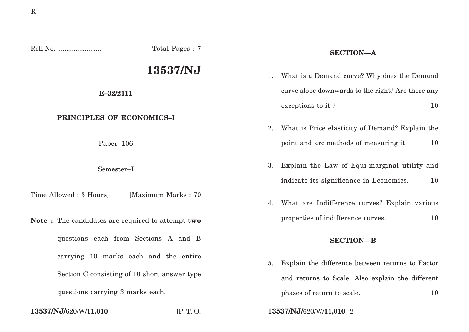| Total Pages: 7                                   |                     | <b>SECTION-A</b> |                                                                                               |
|--------------------------------------------------|---------------------|------------------|-----------------------------------------------------------------------------------------------|
|                                                  | 13537/NJ            | 1.               | What is a Demand curve? Why does the Demand                                                   |
| E-32/2111                                        |                     |                  | curve slope downwards to the right? Are there any                                             |
|                                                  |                     |                  | exceptions to it?<br>10                                                                       |
| PRINCIPLES OF ECONOMICS-I                        |                     | 2.               | What is Price elasticity of Demand? Explain the                                               |
| Paper-106                                        |                     |                  | 10<br>point and arc methods of measuring it.                                                  |
| Semester-I                                       |                     | 3.               | Explain the Law of Equi-marginal utility and<br>indicate its significance in Economics.<br>10 |
| Time Allowed: 3 Hours]                           | [Maximum Marks: 70] | 4.               | What are Indifference curves? Explain various                                                 |
| Note: The candidates are required to attempt two |                     |                  | properties of indifference curves.<br>10                                                      |
| questions each from Sections A and B             |                     | <b>SECTION-B</b> |                                                                                               |
| carrying 10 marks each and the entire            |                     | 5.               | Explain the difference between returns to Factor                                              |
| Section C consisting of 10 short answer type     |                     |                  | and returns to Scale. Also explain the different                                              |
| questions carrying 3 marks each.                 |                     |                  | phases of return to scale.<br>10                                                              |
| 13537/NJ/620/W/11,010                            | [P.T. O.            |                  | 13537/NJ/620/W/11,010 2                                                                       |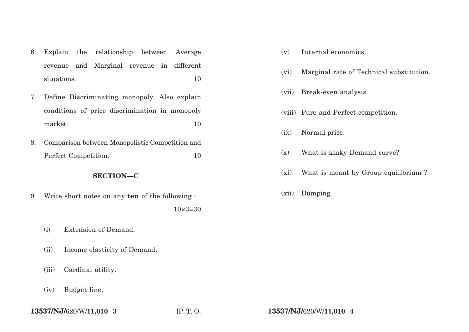- 6. Explain the relationship between Average revenue and Marginal revenue in different situations. 10
- 7. Define Discriminating monopoly. Also explain conditions of price discrimination in monopoly market. 10
- 8. Comparison between Monopolistic Competition and Perfect Competition. 10

## **SECTION—C**

9. Write short notes on any **ten** of the following :

# $10\times3=30$

- (i) Extension of Demand.
- (ii) Income elasticity of Demand.
- (iii) Cardinal utility.
- (iv) Budget line.
- (v) Internal economics.
- (vi) Marginal rate of Technical substitution.
- (vii) Break-even analysis.
- (viii) Pure and Perfect competition.
- (ix) Normal price.
- (x) What is kinky Demand curve?
- (xi) What is meant by Group equilibrium ?
- (xii) Dumping.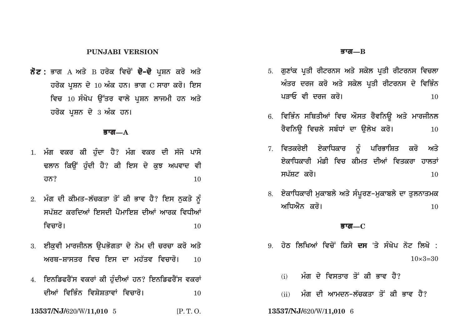### **PUNJABI VERSION**

ਨੋਟ : ਭਾਗ A ਅਤੇ B ਹਰੇਕ ਵਿਚੋਂ **ਦੋ–ਦੋ** ਪਸ਼ਨ ਕਰੋ ਅਤੇ ਹਰੇਕ ਪਸ਼ਨ ਦੇ  $10$  ਅੰਕ ਹਨ। ਭਾਗ  $C$  ਸਾਰਾ ਕਰੋ। ਇਸ ਵਿਚ 10 ਸੰਖੇਪ ਉੱਤਰ ਵਾਲੇ ਪਸ਼ਨ ਲਾਜਮੀ ਹਨ ਅਤੇ ਹਰੇਕ ਪਸ਼ਨ ਦੇ 3 ਅੰਕ ਹਨ।

#### ब्रात $-A$

- 1. ਮੰਗ ਵਕਰ ਕੀ ਹੰਦਾ ਹੈ? ਮੰਗ ਵਕਰ ਦੀ ਸੱਜੇ ਪਾਸੇ ਢਲਾਨ ਕਿੳਂ ਹੰਦੀ ਹੈ? ਕੀ ਇਸ ਦੇ ਕਝ ਅਪਵਾਦ ਵੀ 10 <u>ਹਨ?</u>
- 2. ਮੰਗ ਦੀ ਕੀਮਤ-ਲੱਚਕਤਾ ਤੋਂ ਕੀ ਭਾਵ ਹੈ? ਇਸ ਨੁਕਤੇ ਨੂੰ ਸਪੱਸਟ ਕਰਦਿਆਂ ਇਸਦੀ ਪੈਮਾਇਸ ਦੀਆਂ ਆਰਕ ਵਿਧੀਆਂ ਵਿਚਾਰੋ।  $10$
- 3. ਈਕਵੀ ਮਾਰਜੀਨਲ ਉਪਭੋਗਤਾ ਦੇ ਨੇਮ ਦੀ ਚਰਚਾ ਕਰੋ ਅਤੇ ਅਰਥ–ਸ਼ਾਸਤਰ ਵਿਚ ਇਸ ਦਾ ਮਹੱਤਵ ਵਿਚਾਰੋ।  $10$
- 4. ਇਨਡਿਫਰੈਂਸ ਵਕਰਾਂ ਕੀ ਹੁੰਦੀਆਂ ਹਨ? ਇਨਡਿਫਰੈਂਸ ਵਕਰਾਂ ਦੀਆਂ ਵਿਭਿੰਨ ਵਿਸ਼ੇਸ਼ਤਾਵਾਂ ਵਿਚਾਰੋ। 10
- 13537/NJ/620/W/11,010 5  $IP. T. O.$

#### ब्रग्त $\equiv$  $\rm R$

- 5. ਗਣਾਂਕ ਪਤੀ ਰੀਟਰਨਸ ਅਤੇ ਸਕੇਲ ਪਤੀ ਰੀਟਰਨਸ ਵਿਚਲਾ ਅੰਤਰ ਦਰਜ ਕਰੋ ਅਤੇ ਸਕੇਲ ਪ੍ਰਤੀ ਰੀਟਰਨਸ ਦੇ ਵਿਭਿੰਨ ਪਤਾਓ ਵੀ ਦਰਜ ਕਰੋ।  $10$
- 6. ਵਿਭਿੰਨ ਸਥਿਤੀਆਂ ਵਿਚ ਔਸਤ ਰੈਵਨਿਊ ਅਤੇ ਮਾਰਜੀਨਲ ਰੈਵਨਿਊ ਵਿਚਲੇ ਸਬੰਧਾਂ ਦਾ ਉਲੇਖ ਕਰੋ।  $10$
- 7. ਵਿਤਕਰੇਈ ਏਕਾਧਿਕਾਰ ਨੂੰ ਪਰਿਭਾਸ਼ਿਤ ਕਰੋ ਅਤੇ <u>ਏਕਾਧਿਕਾਰੀ ਮੰਡੀ ਵਿਚ ਕੀਮਤ ਦੀਆਂ ਵਿਤਕਰਾ ਹਾਲਤਾਂ</u> ਸਪੱਸ਼ਟ ਕਰੋ।  $10$
- 8. ਏਕਾਧਿਕਾਰੀ ਮੁਕਾਬਲੇ ਅਤੇ ਸੰਪੂਰਣ-ਮੁਕਾਬਲੇ ਦਾ ਤੁਲਨਾਤਮਕ ਅਧਿਐਨ ਕਰੋ।  $10$

#### ब्रात $\_\mathrm{C}$

- <u>਼ ਹੇਨ ਲਿਖਿਆਂ ਵਿਚੋਂ ਕਿਸੇ ਦਸ 'ਤੇ ਸੰਖੇਪ ਨੋਟ ਲਿਖੋ :</u>  $10 \times 3 = 30$ 
	- ਮੰਗ ਦੇ ਵਿਸਤਾਰ ਤੋਂ ਕੀ ਭਾਵ ਹੈ?  $(i)$
	- ਮੰਗ ਦੀ ਆਮਦਨ-ਲੱਚਕਤਾ ਤੋਂ ਕੀ ਭਾਵ ਹੈ?  $(ii)$
- 13537/NJ/620/W/11,010 6